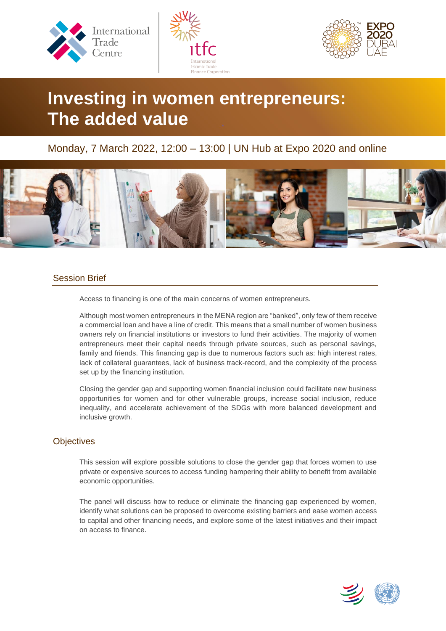





# **Investing in women entrepreneurs: The added value**

# Monday, 7 March 2022, 12:00 – 13:00 | UN Hub at Expo 2020 and online



## Session Brief

Access to financing is one of the main concerns of women entrepreneurs.

Although most women entrepreneurs in the MENA region are "banked", only few of them receive a commercial loan and have a line of credit. This means that a small number of women business owners rely on financial institutions or investors to fund their activities. The majority of women entrepreneurs meet their capital needs through private sources, such as personal savings, family and friends. This financing gap is due to numerous factors such as: high interest rates, lack of collateral guarantees, lack of business track-record, and the complexity of the process set up by the financing institution.

Closing the gender gap and supporting women financial inclusion could facilitate new business opportunities for women and for other vulnerable groups, increase social inclusion, reduce inequality, and accelerate achievement of the SDGs with more balanced development and inclusive growth.

## **Objectives**

This session will explore possible solutions to close the gender gap that forces women to use private or expensive sources to access funding hampering their ability to benefit from available economic opportunities.

The panel will discuss how to reduce or eliminate the financing gap experienced by women, identify what solutions can be proposed to overcome existing barriers and ease women access to capital and other financing needs, and explore some of the latest initiatives and their impact on access to finance.

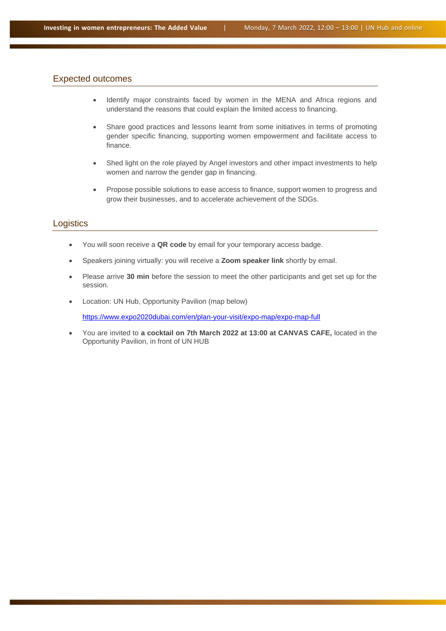### Expected outcomes

- Identify major constraints faced by women in the MENA and Africa regions and understand the reasons that could explain the limited access to financing.
- Share good practices and lessons learnt from some initiatives in terms of promoting gender specific financing, supporting women empowerment and facilitate access to finance.
- Shed light on the role played by Angel investors and other impact investments to help women and narrow the gender gap in financing.
- Propose possible solutions to ease access to finance, support women to progress and grow their businesses, and to accelerate achievement of the SDGs.

#### **Logistics**

- You will soon receive a **QR code** by email for your temporary access badge.
- Speakers joining virtually: you will receive a **Zoom speaker link** shortly by email.
- Please arrive **30 min** before the session to meet the other participants and get set up for the session.
- Location: UN Hub, Opportunity Pavilion (map below)

<https://www.expo2020dubai.com/en/plan-your-visit/expo-map/expo-map-full>

• You are invited to **a cocktail on 7th March 2022 at 13:00 at CANVAS CAFE,** located in the Opportunity Pavilion, in front of UN HUB